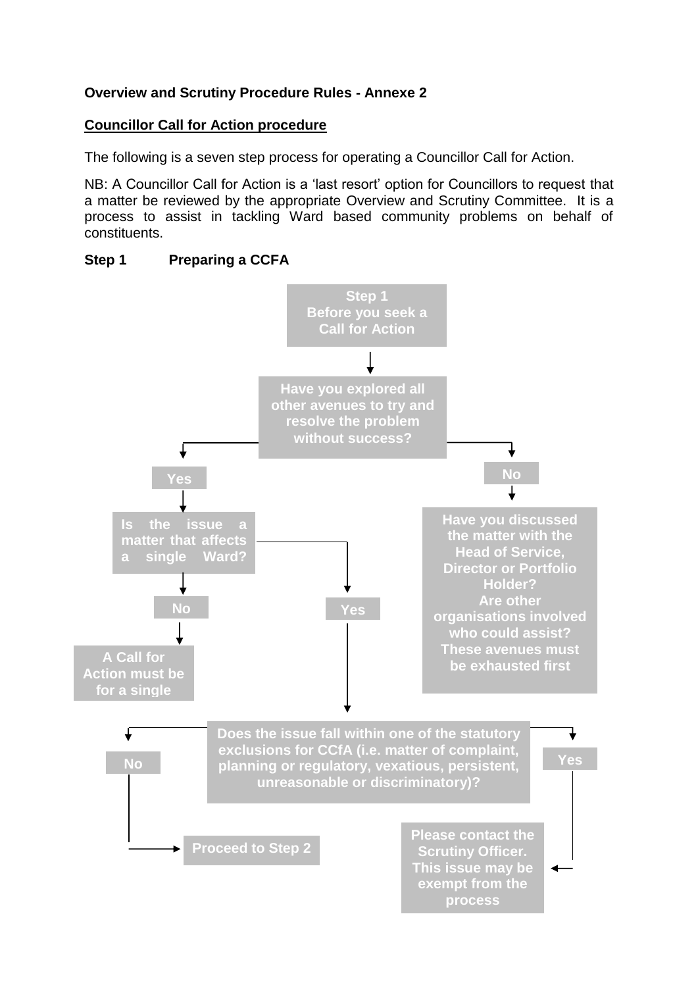## **Overview and Scrutiny Procedure Rules - Annexe 2**

#### **Councillor Call for Action procedure**

The following is a seven step process for operating a Councillor Call for Action.

NB: A Councillor Call for Action is a 'last resort' option for Councillors to request that a matter be reviewed by the appropriate Overview and Scrutiny Committee. It is a process to assist in tackling Ward based community problems on behalf of constituents.



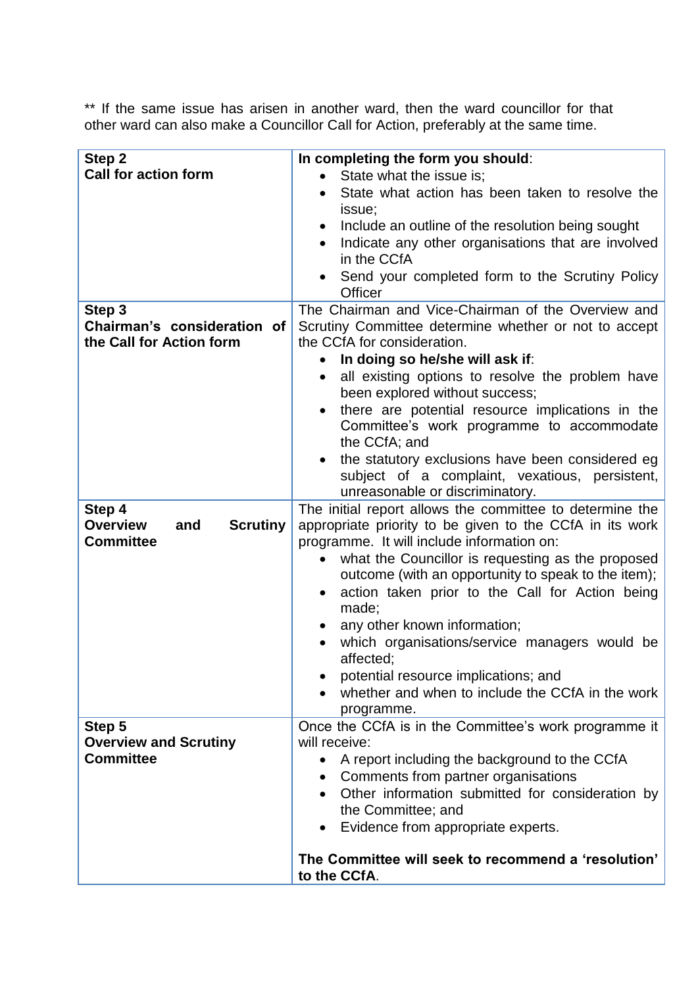\*\* If the same issue has arisen in another ward, then the ward councillor for that other ward can also make a Councillor Call for Action, preferably at the same time.

| Step 2                                                                  | In completing the form you should:                                                                                                                                 |
|-------------------------------------------------------------------------|--------------------------------------------------------------------------------------------------------------------------------------------------------------------|
| <b>Call for action form</b>                                             | State what the issue is;                                                                                                                                           |
|                                                                         | State what action has been taken to resolve the<br>issue;                                                                                                          |
|                                                                         | Include an outline of the resolution being sought                                                                                                                  |
|                                                                         | Indicate any other organisations that are involved<br>in the CCfA                                                                                                  |
|                                                                         | Send your completed form to the Scrutiny Policy<br>Officer                                                                                                         |
| Step 3                                                                  | The Chairman and Vice-Chairman of the Overview and                                                                                                                 |
| Chairman's consideration of                                             | Scrutiny Committee determine whether or not to accept                                                                                                              |
| the Call for Action form                                                | the CCfA for consideration.                                                                                                                                        |
|                                                                         | In doing so he/she will ask if:                                                                                                                                    |
|                                                                         | all existing options to resolve the problem have<br>$\bullet$                                                                                                      |
|                                                                         | been explored without success;                                                                                                                                     |
|                                                                         | there are potential resource implications in the<br>Committee's work programme to accommodate<br>the CCfA; and                                                     |
|                                                                         | the statutory exclusions have been considered eg                                                                                                                   |
|                                                                         | subject of a complaint, vexatious, persistent,                                                                                                                     |
|                                                                         | unreasonable or discriminatory.                                                                                                                                    |
| Step 4<br><b>Overview</b><br><b>Scrutiny</b><br>and<br><b>Committee</b> | The initial report allows the committee to determine the<br>appropriate priority to be given to the CCfA in its work<br>programme. It will include information on: |
|                                                                         | what the Councillor is requesting as the proposed<br>$\bullet$                                                                                                     |
|                                                                         | outcome (with an opportunity to speak to the item);                                                                                                                |
|                                                                         | action taken prior to the Call for Action being<br>$\bullet$<br>made;                                                                                              |
|                                                                         | any other known information;                                                                                                                                       |
|                                                                         | which organisations/service managers would be<br>affected;                                                                                                         |
|                                                                         | potential resource implications; and                                                                                                                               |
|                                                                         | whether and when to include the CCfA in the work<br>programme.                                                                                                     |
| Step 5                                                                  | Once the CCfA is in the Committee's work programme it                                                                                                              |
| <b>Overview and Scrutiny</b>                                            | will receive:                                                                                                                                                      |
| <b>Committee</b>                                                        | A report including the background to the CCfA                                                                                                                      |
|                                                                         | Comments from partner organisations<br>$\bullet$                                                                                                                   |
|                                                                         | Other information submitted for consideration by                                                                                                                   |
|                                                                         | the Committee; and                                                                                                                                                 |
|                                                                         | Evidence from appropriate experts.                                                                                                                                 |
|                                                                         | The Committee will seek to recommend a 'resolution'<br>to the CCfA.                                                                                                |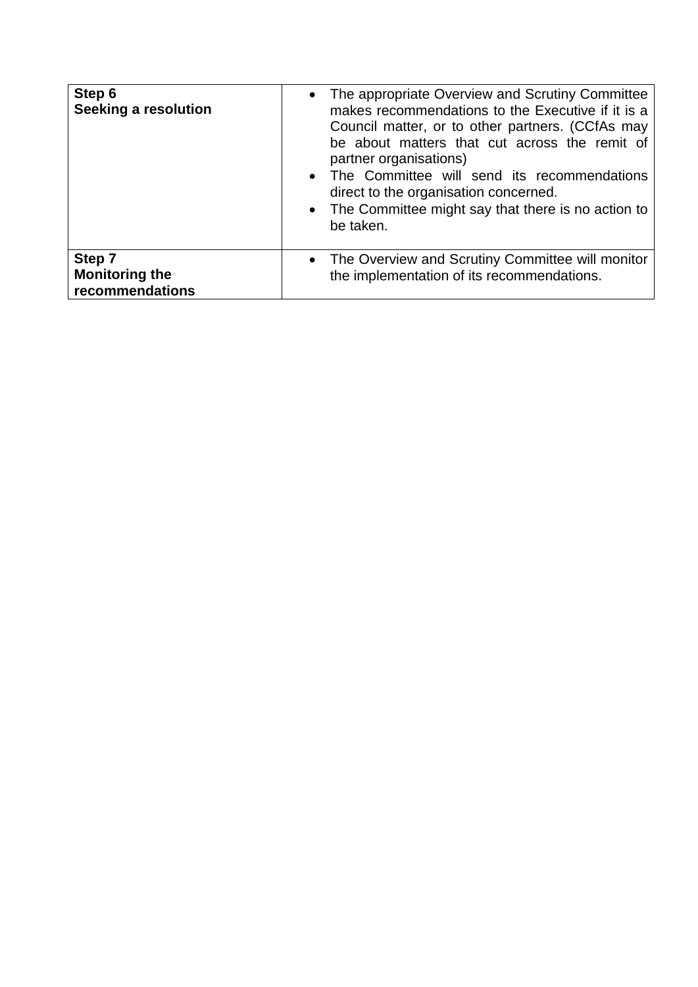| Step 6<br>Seeking a resolution                     | • The appropriate Overview and Scrutiny Committee<br>makes recommendations to the Executive if it is a<br>Council matter, or to other partners. (CCfAs may<br>be about matters that cut across the remit of<br>partner organisations)<br>• The Committee will send its recommendations<br>direct to the organisation concerned.<br>• The Committee might say that there is no action to<br>be taken. |
|----------------------------------------------------|------------------------------------------------------------------------------------------------------------------------------------------------------------------------------------------------------------------------------------------------------------------------------------------------------------------------------------------------------------------------------------------------------|
| Step 7<br><b>Monitoring the</b><br>recommendations | • The Overview and Scrutiny Committee will monitor<br>the implementation of its recommendations.                                                                                                                                                                                                                                                                                                     |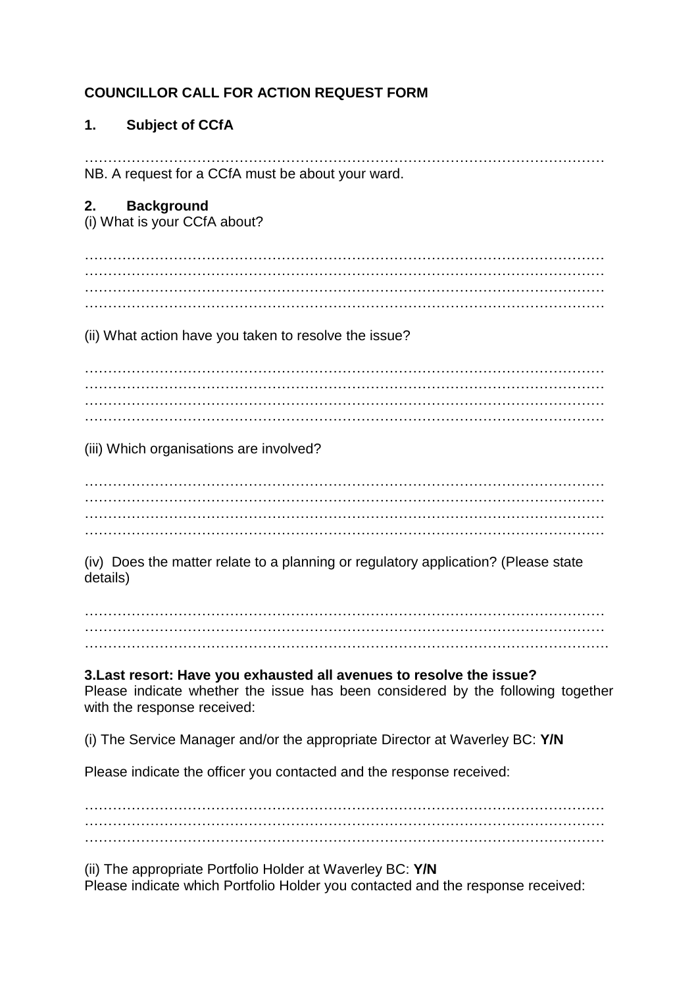# **COUNCILLOR CALL FOR ACTION REQUEST FORM**

## **1. Subject of CCfA**

………………………………………………………………………………………………… NB. A request for a CCfA must be about your ward.

## **2. Background**

(i) What is your CCfA about?

………………………………………………………………………………………………… ………………………………………………………………………………………………… ………………………………………………………………………………………………… …………………………………………………………………………………………………

(ii) What action have you taken to resolve the issue?

………………………………………………………………………………………………… ………………………………………………………………………………………………… ………………………………………………………………………………………………… …………………………………………………………………………………………………

(iii) Which organisations are involved?

………………………………………………………………………………………………… ………………………………………………………………………………………………… ………………………………………………………………………………………………… …………………………………………………………………………………………………

(iv) Does the matter relate to a planning or regulatory application? (Please state details)

………………………………………………………………………………………………… ………………………………………………………………………………………………… ………………………………………………………………………………………………….

**3.Last resort: Have you exhausted all avenues to resolve the issue?** Please indicate whether the issue has been considered by the following together with the response received:

(i) The Service Manager and/or the appropriate Director at Waverley BC: **Y/N**

Please indicate the officer you contacted and the response received:

………………………………………………………………………………………………… ………………………………………………………………………………………………… …………………………………………………………………………………………………

(ii) The appropriate Portfolio Holder at Waverley BC: **Y/N** Please indicate which Portfolio Holder you contacted and the response received: